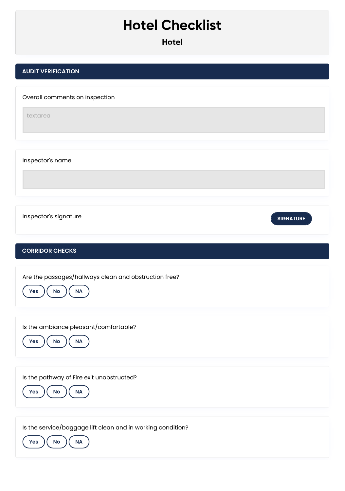## **Hotel Checklist**

## **AUDIT VERIFICATION**

Overall comments on inspection

textarea

Inspector's name

**Inspector's signature example of the signature of the signature of the signature of the signature of the signature** 

## **CORRIDOR CHECKS**

Are the passages/hallways clean and obstruction free?



Is the ambiance pleasant/comfortable?



Is the pathway of Fire exit unobstructed?



Is the service/baggage lift clean and in working condition?

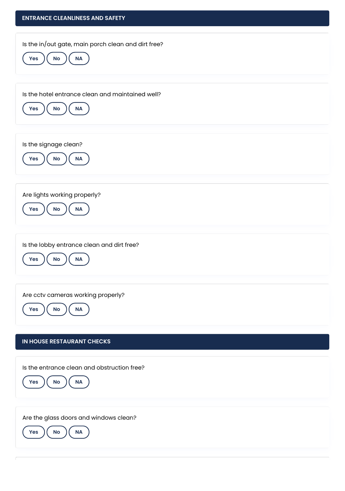| <b>ENTRANCE CLEANLINESS AND SAFETY</b>                                            |
|-----------------------------------------------------------------------------------|
| Is the in/out gate, main porch clean and dirt free?<br>NA<br>$\mathsf{No}$<br>Yes |
| Is the hotel entrance clean and maintained well?<br>NA<br>Yes<br><b>No</b>        |
| Is the signage clean?<br>NA<br>Yes<br>$\mathsf{No}$                               |
| Are lights working properly?<br>NA<br>No<br><b>Yes</b>                            |
| Is the lobby entrance clean and dirt free?<br>NA<br><b>Yes</b><br>No              |
| Are cctv cameras working properly?<br><b>NA</b><br>No<br>Yes                      |
| <b>IN HOUSE RESTAURANT CHECKS</b>                                                 |
| Is the entrance clean and obstruction free?<br>$\sf NA$<br><b>No</b><br>Yes       |
| Are the glass doors and windows clean?<br>NA<br>Yes<br>No                         |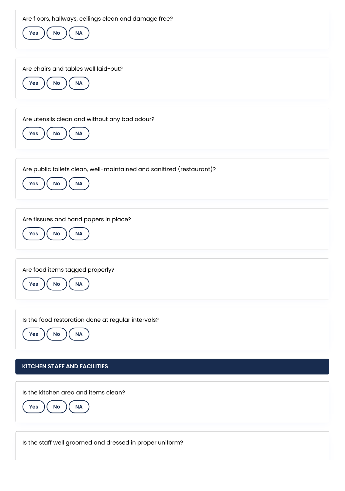Are floors, hallways, ceilings clean and damage free?

| Are noors, nailways, ceilings cleari and darnage nee:<br><b>No</b><br><b>NA</b><br>Yes          |
|-------------------------------------------------------------------------------------------------|
| Are chairs and tables well laid-out?<br>$\mathsf{No}$<br>$\sf NA$<br>Yes                        |
| Are utensils clean and without any bad odour?<br>Yes<br>$\mathsf{No}$<br>$\mathsf{NA}$          |
| Are public toilets clean, well-maintained and sanitized (restaurant)?<br><b>NA</b><br>No<br>Yes |
| Are tissues and hand papers in place?<br>No<br><b>NA</b><br>Yes                                 |
| Are food items tagged properly?<br>$\mathsf{No}$<br><b>NA</b><br>Yes                            |
| Is the food restoration done at regular intervals?<br>No<br><b>NA</b><br>Yes                    |
| <b>KITCHEN STAFF AND FACILITIES</b>                                                             |
| Is the kitchen area and items clean?<br>$\mathsf{No}$<br>$\sf NA$<br><b>Yes</b>                 |
| Is the staff well groomed and dressed in proper uniform?                                        |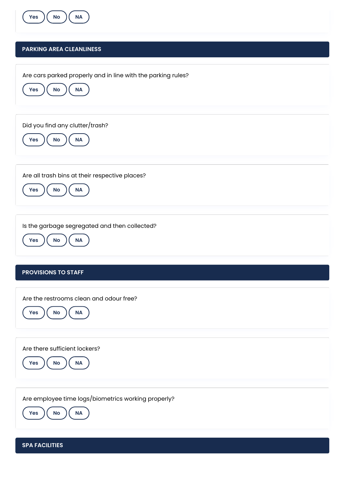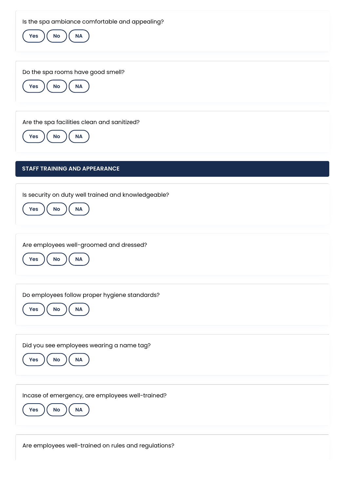Is the spa ambiance comfortable and appealing?



Are employees well-trained on rules and regulations?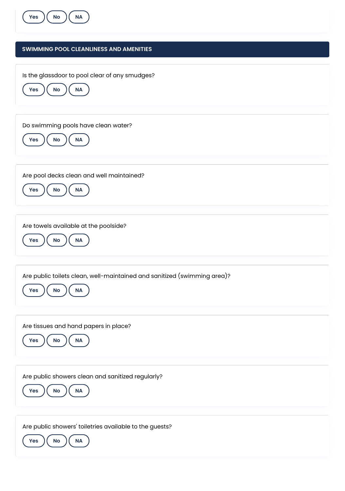

## **SWIMMING POOL CLEANLINESS AND AMENITIES**

Is the glassdoor to pool clear of any smudges?



Do swimming pools have clean water?



Are pool decks clean and well maintained?



Are towels available at the poolside?



Are public toilets clean, well-maintained and sanitized (swimming area)?



Are tissues and hand papers in place?



Are public showers clean and sanitized regularly?



Are public showers' toiletries available to the guests?

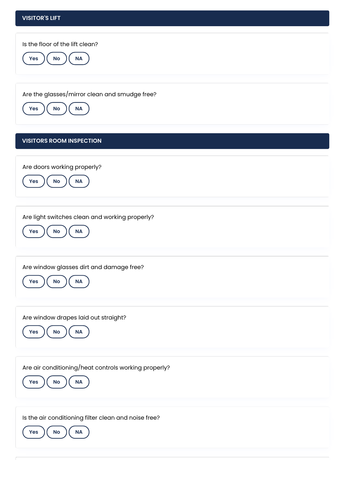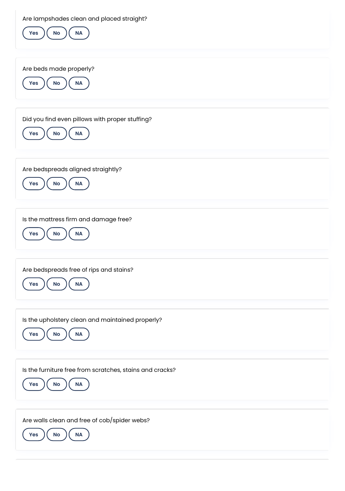Are lampshades clean and placed straight?

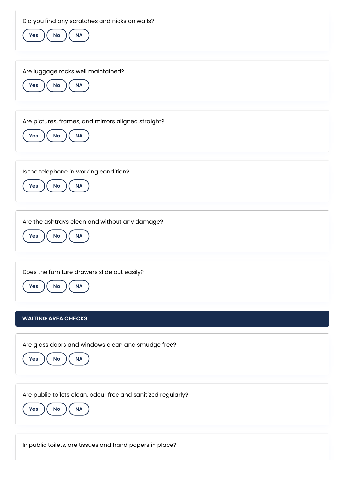Did you find any scratches and nicks on walls?



In public toilets, are tissues and hand papers in place?